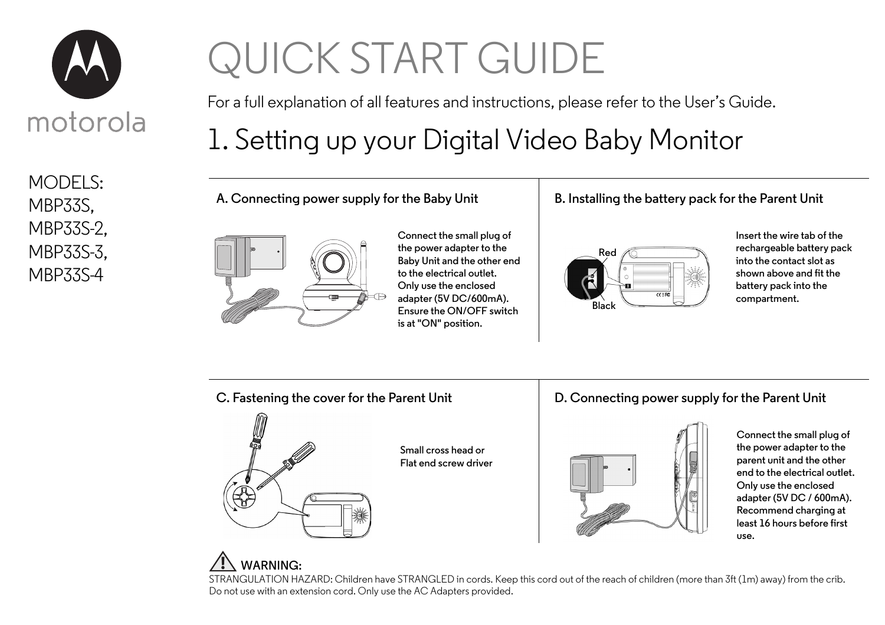

MODELS: MBP33S, MBP33S-2, MBP33S-3, MBP33S-4

# QUICK START GUIDE

For a full explanation of all features and instructions, please refer to the User's Guide.

## 1. Setting up your Digital Video Baby Monitor

**A. Connecting power supply for the Baby Unit**



**Connect the small plug of the power adapter to the Baby Unit and the other end to the electrical outlet. Only use the enclosed adapter (5V DC/600mA). Ensure the ON/OFF switch is at "ON" position.**

#### **B. Installing the battery pack for the Parent Unit**



**Insert the wire tab of the rechargeable battery pack into the contact slot as shown above and fit the battery pack into the compartment.**

**C. Fastening the cover for the Parent Unit**



**Small cross head or Flat end screw driver**

#### **D. Connecting power supply for the Parent Unit**



**Connect the small plug of the power adapter to the parent unit and the other end to the electrical outlet. Only use the enclosed adapter (5V DC / 600mA). Recommend charging at least 16 hours before first use.**

### **WARNING:**

STRANGULATION HAZARD: Children have STRANGLED in cords. Keep this cord out of the reach of children (more than 3ft (1m) away) from the crib. Do not use with an extension cord. Only use the AC Adapters provided.